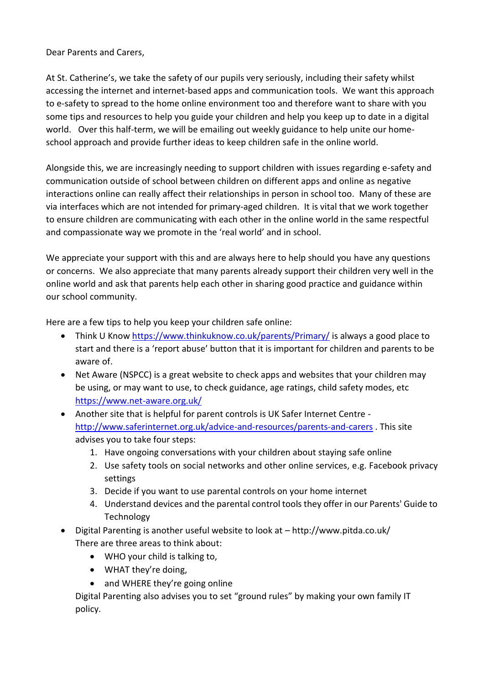Dear Parents and Carers,

At St. Catherine's, we take the safety of our pupils very seriously, including their safety whilst accessing the internet and internet-based apps and communication tools. We want this approach to e-safety to spread to the home online environment too and therefore want to share with you some tips and resources to help you guide your children and help you keep up to date in a digital world. Over this half-term, we will be emailing out weekly guidance to help unite our homeschool approach and provide further ideas to keep children safe in the online world.

Alongside this, we are increasingly needing to support children with issues regarding e-safety and communication outside of school between children on different apps and online as negative interactions online can really affect their relationships in person in school too. Many of these are via interfaces which are not intended for primary-aged children. It is vital that we work together to ensure children are communicating with each other in the online world in the same respectful and compassionate way we promote in the 'real world' and in school.

We appreciate your support with this and are always here to help should you have any questions or concerns. We also appreciate that many parents already support their children very well in the online world and ask that parents help each other in sharing good practice and guidance within our school community.

Here are a few tips to help you keep your children safe online:

- Think U Know<https://www.thinkuknow.co.uk/parents/Primary/> is always a good place to start and there is a 'report abuse' button that it is important for children and parents to be aware of.
- Net Aware (NSPCC) is a great website to check apps and websites that your children may be using, or may want to use, to check guidance, age ratings, child safety modes, etc <https://www.net-aware.org.uk/>
- Another site that is helpful for parent controls is UK Safer Internet Centre <http://www.saferinternet.org.uk/advice-and-resources/parents-and-carers> . This site advises you to take four steps:
	- 1. Have ongoing conversations with your children about staying safe online
	- 2. Use safety tools on social networks and other online services, e.g. Facebook privacy settings
	- 3. Decide if you want to use parental controls on your home internet
	- 4. Understand devices and the parental control tools they offer in our Parents' Guide to Technology
- Digital Parenting is another useful website to look at http://www.pitda.co.uk/ There are three areas to think about:
	- WHO your child is talking to.
	- WHAT they're doing,
	- and WHERE they're going online

Digital Parenting also advises you to set "ground rules" by making your own family IT policy.